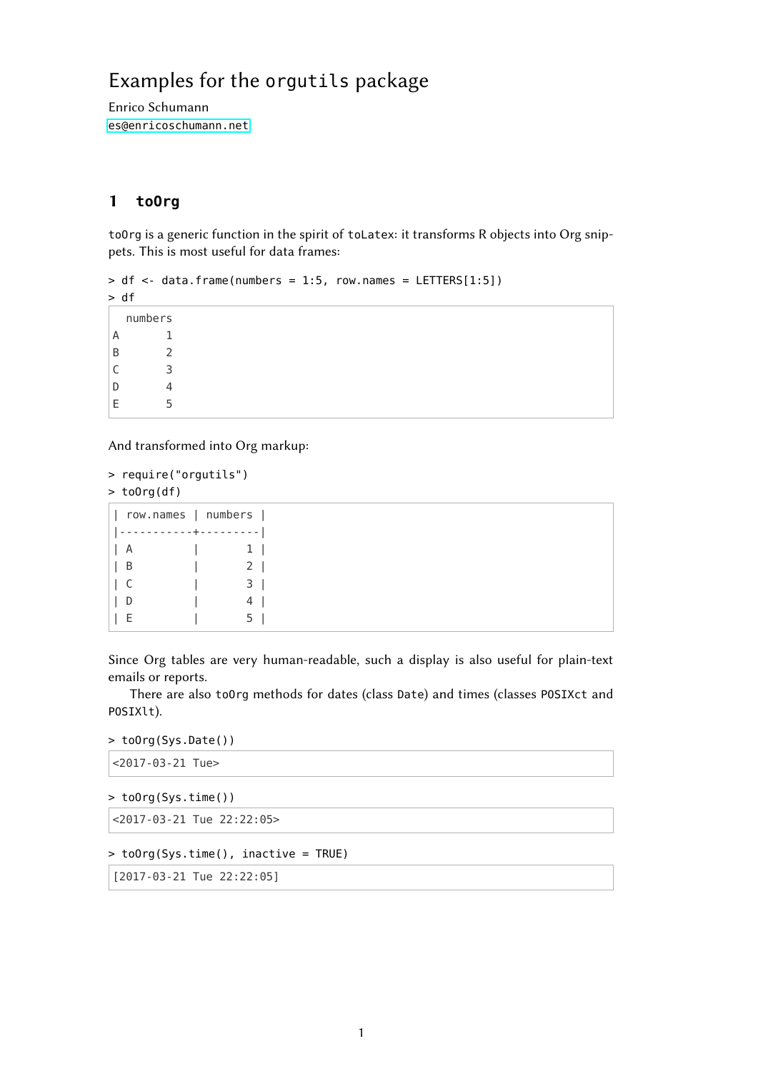## Examples for the orgutils package

Enrico Schumann <es@enricoschumann.net>

## 1 **toOrg**

toOrg is a generic function in the spirit of toLatex: it transforms R objects into Org snippets. This is most useful for data frames:

```
> df < - data.frame(numbers = 1:5, row.names = LETTERS[1:5])
```
> df

numbers A 1 B 2 C 3 D 4 E 5

And transformed into Org markup:

```
> require("orgutils")
> toOrg(df)
```

| row.names   numbers |                        |
|---------------------|------------------------|
|                     | $- - + - -$<br>------- |
| A                   | 11                     |
| В                   | 2 <sub>1</sub>         |
| Ċ                   | 3 I                    |
| I)                  | 4                      |
|                     |                        |

Since Org tables are very human-readable, such a display is also useful for plain-text emails or reports.

There are also toOrg methods for dates (class Date) and times (classes POSIXct and POSIXlt).

```
> toOrg(Sys.Date())
```

```
<2017-03-21 Tue>
```

```
> toOrg(Sys.time())
```
<2017-03-21 Tue 22:22:05>

```
> toOrg(Sys.time(), inactive = TRUE)
```

```
[2017-03-21 Tue 22:22:05]
```